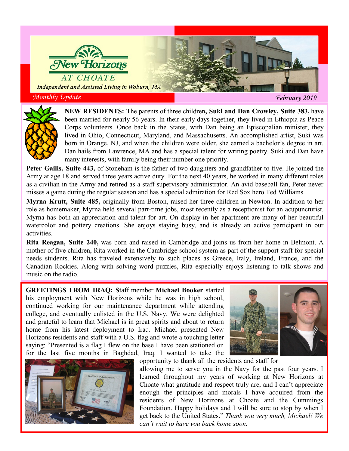

*Monthly Update February 2019*



**NEW RESIDENTS:** The parents of three children**, Suki and Dan Crowley, Suite 383,** have been married for nearly 56 years. In their early days together, they lived in Ethiopia as Peace Corps volunteers. Once back in the States, with Dan being an Episcopalian minister, they lived in Ohio, Connecticut, Maryland, and Massachusetts. An accomplished artist, Suki was born in Orange, NJ, and when the children were older, she earned a bachelor's degree in art. Dan hails from Lawrence, MA and has a special talent for writing poetry. Suki and Dan have many interests, with family being their number one priority.

**Peter Gailis, Suite 443,** of Stoneham is the father of two daughters and grandfather to five. He joined the Army at age 18 and served three years active duty. For the next 40 years, he worked in many different roles as a civilian in the Army and retired as a staff supervisory administrator. An avid baseball fan, Peter never misses a game during the regular season and has a special admiration for Red Sox hero Ted Williams.

**Myrna Krutt, Suite 485,** originally from Boston, raised her three children in Newton. In addition to her role as homemaker, Myrna held several part-time jobs, most recently as a receptionist for an acupuncturist. Myrna has both an appreciation and talent for art. On display in her apartment are many of her beautiful watercolor and pottery creations. She enjoys staying busy, and is already an active participant in our activities.

**Rita Reagan, Suite 240,** was born and raised in Cambridge and joins us from her home in Belmont. A mother of five children, Rita worked in the Cambridge school system as part of the support staff for special needs students. Rita has traveled extensively to such places as Greece, Italy, Ireland, France, and the Canadian Rockies. Along with solving word puzzles, Rita especially enjoys listening to talk shows and music on the radio.

**GREETINGS FROM IRAQ: S**taff member **Michael Booker** started his employment with New Horizons while he was in high school, continued working for our maintenance department while attending college, and eventually enlisted in the U.S. Navy. We were delighted and grateful to learn that Michael is in great spirits and about to return home from his latest deployment to Iraq. Michael presented New Horizons residents and staff with a U.S. flag and wrote a touching letter saying: "Presented is a flag I flew on the base I have been stationed on for the last five months in Baghdad, Iraq. I wanted to take the





opportunity to thank all the residents and staff for

allowing me to serve you in the Navy for the past four years. I learned throughout my years of working at New Horizons at Choate what gratitude and respect truly are, and I can't appreciate enough the principles and morals I have acquired from the residents of New Horizons at Choate and the Cummings Foundation. Happy holidays and I will be sure to stop by when I get back to the United States." *Thank you very much, Michael! We can't wait to have you back home soon.*